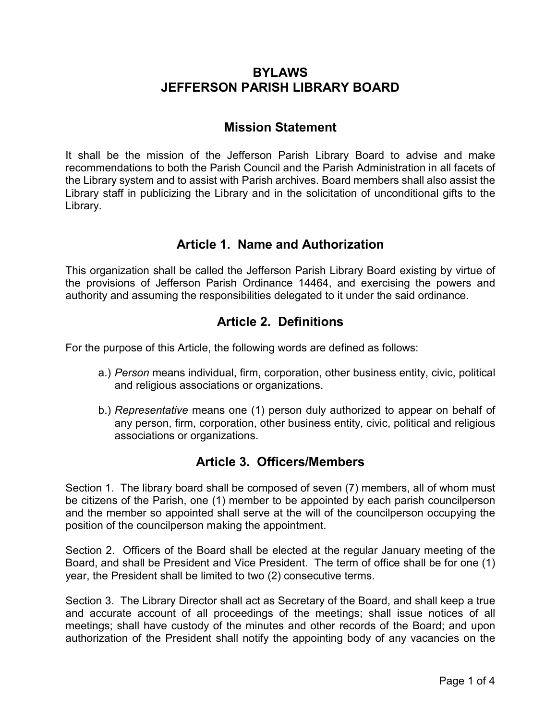# **BYLAWS JEFFERSON PARISH LIBRARY BOARD**

### **Mission Statement**

It shall be the mission of the Jefferson Parish Library Board to advise and make recommendations to both the Parish Council and the Parish Administration in all facets of the Library system and to assist with Parish archives. Board members shall also assist the Library staff in publicizing the Library and in the solicitation of unconditional gifts to the Library.

# **Article 1. Name and Authorization**

This organization shall be called the Jefferson Parish Library Board existing by virtue of the provisions of Jefferson Parish Ordinance 14464, and exercising the powers and authority and assuming the responsibilities delegated to it under the said ordinance.

# **Article 2. Definitions**

For the purpose of this Article, the following words are defined as follows:

- a.) *Person* means individual, firm, corporation, other business entity, civic, political and religious associations or organizations.
- b.) *Representative* means one (1) person duly authorized to appear on behalf of any person, firm, corporation, other business entity, civic, political and religious associations or organizations.

# **Article 3. Officers/Members**

Section 1. The library board shall be composed of seven (7) members, all of whom must be citizens of the Parish, one (1) member to be appointed by each parish councilperson and the member so appointed shall serve at the will of the councilperson occupying the position of the councilperson making the appointment.

Section 2. Officers of the Board shall be elected at the regular January meeting of the Board, and shall be President and Vice President. The term of office shall be for one (1) year, the President shall be limited to two (2) consecutive terms.

Section 3. The Library Director shall act as Secretary of the Board, and shall keep a true and accurate account of all proceedings of the meetings; shall issue notices of all meetings; shall have custody of the minutes and other records of the Board; and upon authorization of the President shall notify the appointing body of any vacancies on the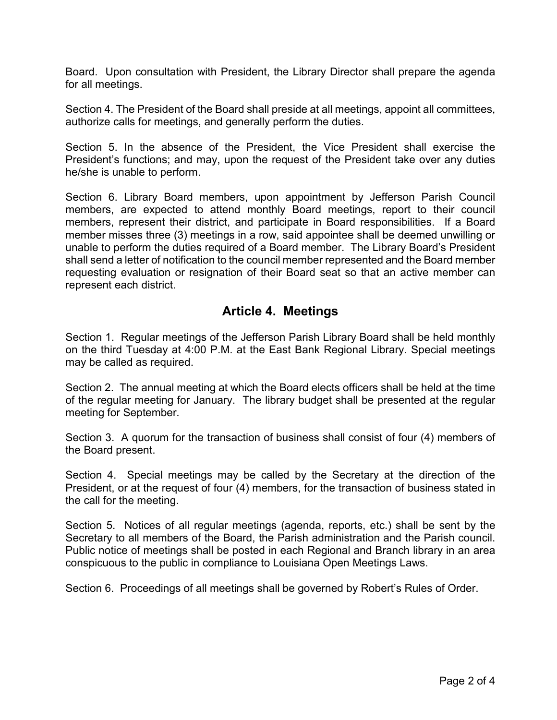Board. Upon consultation with President, the Library Director shall prepare the agenda for all meetings.

Section 4. The President of the Board shall preside at all meetings, appoint all committees, authorize calls for meetings, and generally perform the duties.

Section 5. In the absence of the President, the Vice President shall exercise the President's functions; and may, upon the request of the President take over any duties he/she is unable to perform.

Section 6. Library Board members, upon appointment by Jefferson Parish Council members, are expected to attend monthly Board meetings, report to their council members, represent their district, and participate in Board responsibilities. If a Board member misses three (3) meetings in a row, said appointee shall be deemed unwilling or unable to perform the duties required of a Board member. The Library Board's President shall send a letter of notification to the council member represented and the Board member requesting evaluation or resignation of their Board seat so that an active member can represent each district.

### **Article 4. Meetings**

Section 1. Regular meetings of the Jefferson Parish Library Board shall be held monthly on the third Tuesday at 4:00 P.M. at the East Bank Regional Library. Special meetings may be called as required.

Section 2. The annual meeting at which the Board elects officers shall be held at the time of the regular meeting for January. The library budget shall be presented at the regular meeting for September.

Section 3. A quorum for the transaction of business shall consist of four (4) members of the Board present.

Section 4. Special meetings may be called by the Secretary at the direction of the President, or at the request of four (4) members, for the transaction of business stated in the call for the meeting.

Section 5. Notices of all regular meetings (agenda, reports, etc.) shall be sent by the Secretary to all members of the Board, the Parish administration and the Parish council. Public notice of meetings shall be posted in each Regional and Branch library in an area conspicuous to the public in compliance to Louisiana Open Meetings Laws.

Section 6. Proceedings of all meetings shall be governed by Robert's Rules of Order.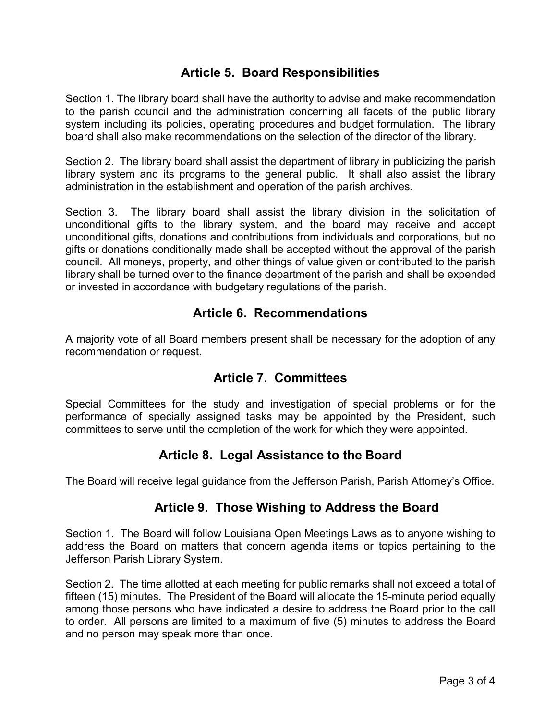# **Article 5. Board Responsibilities**

Section 1. The library board shall have the authority to advise and make recommendation to the parish council and the administration concerning all facets of the public library system including its policies, operating procedures and budget formulation. The library board shall also make recommendations on the selection of the director of the library.

Section 2. The library board shall assist the department of library in publicizing the parish library system and its programs to the general public. It shall also assist the library administration in the establishment and operation of the parish archives.

Section 3. The library board shall assist the library division in the solicitation of unconditional gifts to the library system, and the board may receive and accept unconditional gifts, donations and contributions from individuals and corporations, but no gifts or donations conditionally made shall be accepted without the approval of the parish council. All moneys, property, and other things of value given or contributed to the parish library shall be turned over to the finance department of the parish and shall be expended or invested in accordance with budgetary regulations of the parish.

### **Article 6. Recommendations**

A majority vote of all Board members present shall be necessary for the adoption of any recommendation or request.

### **Article 7. Committees**

Special Committees for the study and investigation of special problems or for the performance of specially assigned tasks may be appointed by the President, such committees to serve until the completion of the work for which they were appointed.

# **Article 8. Legal Assistance to the Board**

The Board will receive legal guidance from the Jefferson Parish, Parish Attorney's Office.

### **Article 9. Those Wishing to Address the Board**

Section 1. The Board will follow Louisiana Open Meetings Laws as to anyone wishing to address the Board on matters that concern agenda items or topics pertaining to the Jefferson Parish Library System.

Section 2. The time allotted at each meeting for public remarks shall not exceed a total of fifteen (15) minutes. The President of the Board will allocate the 15-minute period equally among those persons who have indicated a desire to address the Board prior to the call to order. All persons are limited to a maximum of five (5) minutes to address the Board and no person may speak more than once.